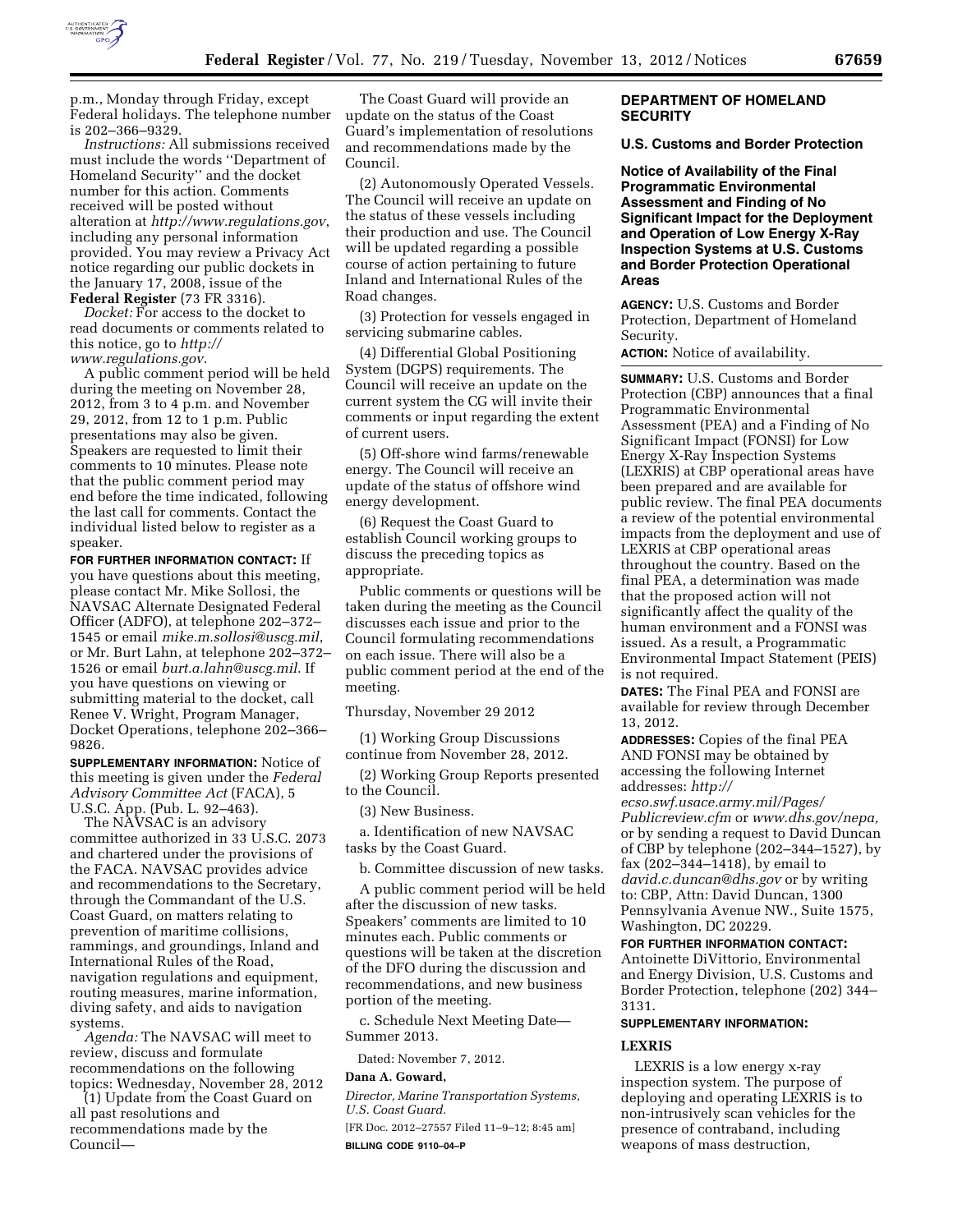

p.m., Monday through Friday, except Federal holidays. The telephone number is 202–366–9329.

*Instructions:* All submissions received must include the words ''Department of Homeland Security'' and the docket number for this action. Comments received will be posted without alteration at *<http://www.regulations.gov>*, including any personal information provided. You may review a Privacy Act notice regarding our public dockets in the January 17, 2008, issue of the **Federal Register** (73 FR 3316).

*Docket:* For access to the docket to read documents or comments related to this notice, go to *[http://](http://www.regulations.gov) [www.regulations.gov](http://www.regulations.gov)*.

A public comment period will be held during the meeting on November 28, 2012, from 3 to 4 p.m. and November 29, 2012, from 12 to 1 p.m. Public presentations may also be given. Speakers are requested to limit their comments to 10 minutes. Please note that the public comment period may end before the time indicated, following the last call for comments. Contact the individual listed below to register as a speaker.

**FOR FURTHER INFORMATION CONTACT:** If you have questions about this meeting, please contact Mr. Mike Sollosi, the NAVSAC Alternate Designated Federal Officer (ADFO), at telephone 202–372– 1545 or email *[mike.m.sollosi@uscg.mil](mailto:mike.m.sollosi@uscg.mil)*, or Mr. Burt Lahn, at telephone 202–372– 1526 or email *[burt.a.lahn@uscg.mil](mailto:burt.a.lahn@uscg.mil)*. If you have questions on viewing or submitting material to the docket, call Renee V. Wright, Program Manager, Docket Operations, telephone 202–366– 9826.

**SUPPLEMENTARY INFORMATION:** Notice of this meeting is given under the *Federal Advisory Committee Act* (FACA), 5 U.S.C. App. (Pub. L. 92–463).

The NAVSAC is an advisory committee authorized in 33 U.S.C. 2073 and chartered under the provisions of the FACA. NAVSAC provides advice and recommendations to the Secretary, through the Commandant of the U.S. Coast Guard, on matters relating to prevention of maritime collisions, rammings, and groundings, Inland and International Rules of the Road, navigation regulations and equipment, routing measures, marine information, diving safety, and aids to navigation systems.

*Agenda:* The NAVSAC will meet to review, discuss and formulate recommendations on the following topics: Wednesday, November 28, 2012

(1) Update from the Coast Guard on all past resolutions and recommendations made by the Council—

The Coast Guard will provide an update on the status of the Coast Guard's implementation of resolutions and recommendations made by the Council.

(2) Autonomously Operated Vessels. The Council will receive an update on the status of these vessels including their production and use. The Council will be updated regarding a possible course of action pertaining to future Inland and International Rules of the Road changes.

(3) Protection for vessels engaged in servicing submarine cables.

(4) Differential Global Positioning System (DGPS) requirements. The Council will receive an update on the current system the CG will invite their comments or input regarding the extent of current users.

(5) Off-shore wind farms/renewable energy. The Council will receive an update of the status of offshore wind energy development.

(6) Request the Coast Guard to establish Council working groups to discuss the preceding topics as appropriate.

Public comments or questions will be taken during the meeting as the Council discusses each issue and prior to the Council formulating recommendations on each issue. There will also be a public comment period at the end of the meeting.

Thursday, November 29 2012

(1) Working Group Discussions continue from November 28, 2012.

(2) Working Group Reports presented to the Council.

(3) New Business.

a. Identification of new NAVSAC tasks by the Coast Guard.

b. Committee discussion of new tasks.

A public comment period will be held after the discussion of new tasks. Speakers' comments are limited to 10 minutes each. Public comments or questions will be taken at the discretion of the DFO during the discussion and recommendations, and new business portion of the meeting.

c. Schedule Next Meeting Date— Summer 2013.

Dated: November 7, 2012.

### **Dana A. Goward,**

*Director, Marine Transportation Systems, U.S. Coast Guard.* 

[FR Doc. 2012–27557 Filed 11–9–12; 8:45 am] **BILLING CODE 9110–04–P** 

## **DEPARTMENT OF HOMELAND SECURITY**

### **U.S. Customs and Border Protection**

**Notice of Availability of the Final Programmatic Environmental Assessment and Finding of No Significant Impact for the Deployment and Operation of Low Energy X-Ray Inspection Systems at U.S. Customs and Border Protection Operational Areas** 

**AGENCY:** U.S. Customs and Border Protection, Department of Homeland Security.

**ACTION:** Notice of availability.

**SUMMARY:** U.S. Customs and Border Protection (CBP) announces that a final Programmatic Environmental Assessment (PEA) and a Finding of No Significant Impact (FONSI) for Low Energy X-Ray Inspection Systems (LEXRIS) at CBP operational areas have been prepared and are available for public review. The final PEA documents a review of the potential environmental impacts from the deployment and use of LEXRIS at CBP operational areas throughout the country. Based on the final PEA, a determination was made that the proposed action will not significantly affect the quality of the human environment and a FONSI was issued. As a result, a Programmatic Environmental Impact Statement (PEIS) is not required.

**DATES:** The Final PEA and FONSI are available for review through December 13, 2012.

**ADDRESSES:** Copies of the final PEA AND FONSI may be obtained by accessing the following Internet addresses: *[http://](http://ecso.swf.usace.army.mil/Pages/Publicreview.cfm)* 

*[ecso.swf.usace.army.mil/Pages/](http://ecso.swf.usace.army.mil/Pages/Publicreview.cfm)  [Publicreview.cfm](http://ecso.swf.usace.army.mil/Pages/Publicreview.cfm)* or *[www.dhs.gov/nepa,](http://www.dhs.gov/nepa)*  or by sending a request to David Duncan of CBP by telephone (202–344–1527), by fax (202–344–1418), by email to *[david.c.duncan@dhs.gov](mailto:david.c.duncan@dhs.gov)* or by writing to: CBP, Attn: David Duncan, 1300 Pennsylvania Avenue NW., Suite 1575, Washington, DC 20229.

### **FOR FURTHER INFORMATION CONTACT:**

Antoinette DiVittorio, Environmental and Energy Division, U.S. Customs and Border Protection, telephone (202) 344– 3131.

### **SUPPLEMENTARY INFORMATION:**

### **LEXRIS**

LEXRIS is a low energy x-ray inspection system. The purpose of deploying and operating LEXRIS is to non-intrusively scan vehicles for the presence of contraband, including weapons of mass destruction,